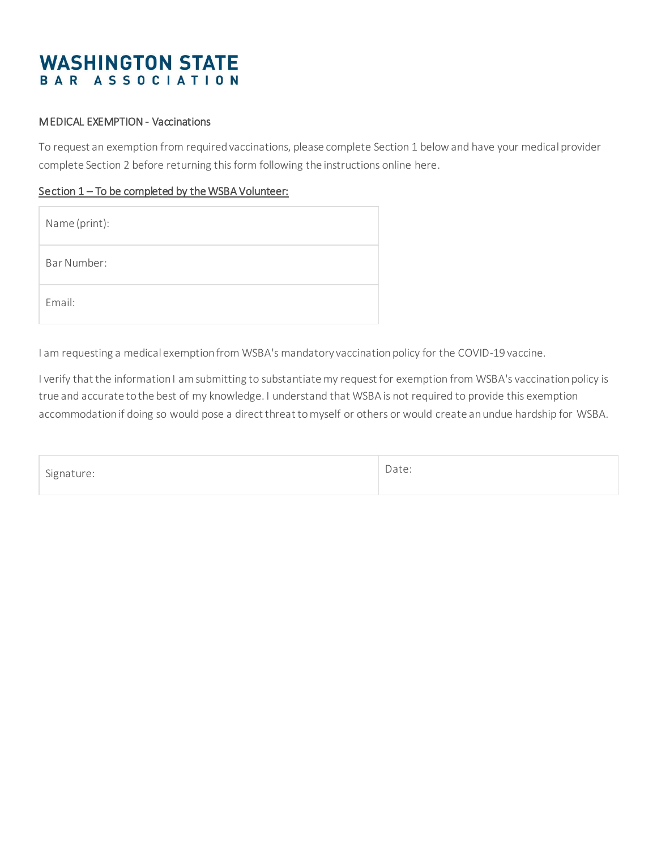# **WASHINGTON STATE** BAR ASSOCIATION

#### MEDICAL EXEMPTION - Vaccinations

To request an exemption from required vaccinations, please complete Section 1 below and have your medical provider complete Section 2 before returning this form following the instructions online here.

#### Section 1 – To be completed by the WSBA Volunteer:

| Name (print): |
|---------------|
| Bar Number:   |
| Email:        |

I am requesting a medical exemption from WSBA's mandatory vaccination policy for the COVID-19 vaccine.

I verify that the information I am submitting to substantiate my request for exemption from WSBA's vaccination policy is true and accurate to the best of my knowledge. I understand that WSBA is not required to provide this exemption accommodation if doing so would pose a direct threat to myself or others or would create an undue hardship for WSBA.

| $-$<br>1000<br>ے استحساس |  |
|--------------------------|--|
|                          |  |